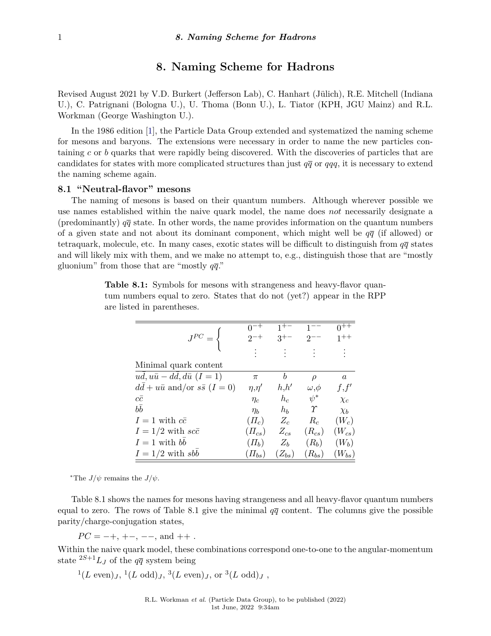# **8. Naming Scheme for Hadrons**

Revised August 2021 by V.D. Burkert (Jefferson Lab), C. Hanhart (Jülich), R.E. Mitchell (Indiana U.), C. Patrignani (Bologna U.), U. Thoma (Bonn U.), L. Tiator (KPH, JGU Mainz) and R.L. Workman (George Washington U.).

In the 1986 edition [\[1\]](#page-3-0), the Particle Data Group extended and systematized the naming scheme for mesons and baryons. The extensions were necessary in order to name the new particles containing *c* or *b* quarks that were rapidly being discovered. With the discoveries of particles that are candidates for states with more complicated structures than just  $q\bar{q}$  or  $qqq$ , it is necessary to extend the naming scheme again.

## **8.1 "Neutral-flavor" mesons**

The naming of mesons is based on their quantum numbers. Although wherever possible we use names established within the naive quark model, the name does *not* necessarily designate a (predominantly)  $q\bar{q}$  state. In other words, the name provides information on the quantum numbers of a given state and not about its dominant component, which might well be  $q\bar{q}$  (if allowed) or tetraquark, molecule, etc. In many cases, exotic states will be difficult to distinguish from  $q\bar{q}$  states and will likely mix with them, and we make no attempt to, e.g., distinguish those that are "mostly gluonium" from those that are "mostly *qq*."

|                                             |                 | $3^{+-}$   |                | $1 + +$               |
|---------------------------------------------|-----------------|------------|----------------|-----------------------|
|                                             |                 |            |                |                       |
| Minimal quark content                       |                 |            |                |                       |
| $ud, u\bar{u} - dd, d\bar{u}$ $(I = 1)$     | $\pi$           | b          | $\rho$         | $\boldsymbol{a}$      |
| $dd + u\bar{u}$ and/or $s\bar{s}$ $(I = 0)$ | $\eta, \eta'$   | h,h'       | $\omega, \phi$ | f, f'                 |
| $c\bar{c}$                                  | $\eta_c$        | $h_c$      | $\psi^*$       | $\chi_c$              |
| $b\bar{b}$                                  | $\eta_b$        | $h_b$      | $\gamma$       | $\chi_b$              |
| $I=1$ with $c\bar{c}$                       | $(\Pi_c)$       | $Z_c$      | $R_c$          | $(W_c)$               |
| $I = 1/2$ with $sc\bar{c}$                  | $(\varPi_{cs})$ | $Z_{cs}$   | $(R_{cs})$     | $\left(W_{cs}\right)$ |
| $I=1$ with bb                               | $(\varPi_b)$    | $Z_b$      | $(R_b)$        | $(W_b)$               |
| $I = 1/2$ with sbb                          | $(\varPi_{bs})$ | $(Z_{bs})$ | $(R_{bs})$     | $(W_{bs})$            |

**Table 8.1:** Symbols for mesons with strangeness and heavy-flavor quantum numbers equal to zero. States that do not (yet?) appear in the RPP are listed in parentheses.

<span id="page-0-0"></span><sup>\*</sup>The  $J/\psi$  remains the  $J/\psi$ .

Table 8.1 shows the names for mesons having strangeness and all heavy-flavor quantum numbers equal to zero. The rows of Table 8.1 give the minimal  $q\bar{q}$  content. The columns give the possible parity/charge-conjugation states,

 $PC = -+, +-, --$ , and  $++$ .

Within the naive quark model, these combinations correspond one-to-one to the angular-momentum state  ${}^{2S+1}L_J$  of the  $q\bar{q}$  system being

 $^{1}(L \text{ even})_{J}$ ,  $^{1}(L \text{ odd})_{J}$ ,  $^{3}(L \text{ even})_{J}$ , or  $^{3}(L \text{ odd})_{J}$ ,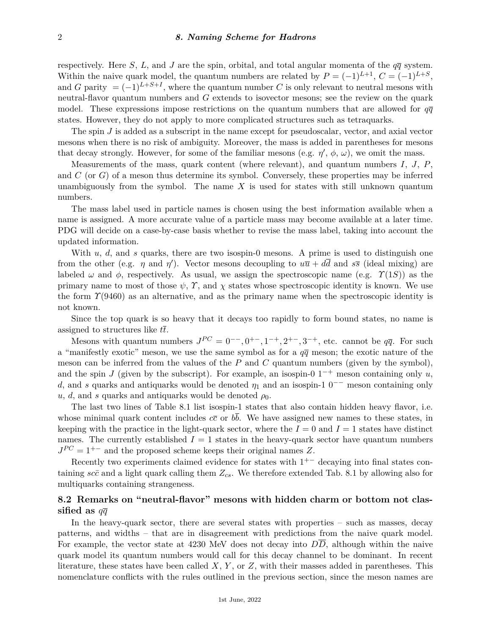respectively. Here *S*, *L*, and *J* are the spin, orbital, and total angular momenta of the  $q\bar{q}$  system. Within the naive quark model, the quantum numbers are related by  $P = (-1)^{L+1}$ ,  $C = (-1)^{L+S}$ , and *G* parity  $= (-1)^{L+S+I}$ , where the quantum number *C* is only relevant to neutral mesons with neutral-flavor quantum numbers and *G* extends to isovector mesons; see the review on the quark model. These expressions impose restrictions on the quantum numbers that are allowed for  $q\bar{q}$ states. However, they do not apply to more complicated structures such as tetraquarks.

The spin *J* is added as a subscript in the name except for pseudoscalar, vector, and axial vector mesons when there is no risk of ambiguity. Moreover, the mass is added in parentheses for mesons that decay strongly. However, for some of the familiar mesons (e.g.  $\eta'$ ,  $\phi$ ,  $\omega$ ), we omit the mass.

Measurements of the mass, quark content (where relevant), and quantum numbers *I*, *J*, *P*, and *C* (or *G*) of a meson thus determine its symbol. Conversely, these properties may be inferred unambiguously from the symbol. The name *X* is used for states with still unknown quantum numbers.

The mass label used in particle names is chosen using the best information available when a name is assigned. A more accurate value of a particle mass may become available at a later time. PDG will decide on a case-by-case basis whether to revise the mass label, taking into account the updated information.

With *u*, *d*, and *s* quarks, there are two isospin-0 mesons. A prime is used to distinguish one from the other (e.g. *η* and *η*<sup>'</sup>). Vector mesons decoupling to  $u\bar{u} + d\bar{d}$  and  $s\bar{s}$  (ideal mixing) are labeled  $\omega$  and  $\phi$ , respectively. As usual, we assign the spectroscopic name (e.g.  $\Upsilon(1S)$ ) as the primary name to most of those  $\psi$ ,  $\gamma$ , and  $\chi$  states whose spectroscopic identity is known. We use the form *Υ*(9460) as an alternative, and as the primary name when the spectroscopic identity is not known.

Since the top quark is so heavy that it decays too rapidly to form bound states, no name is assigned to structures like *tt*.

Mesons with quantum numbers  $J^{PC} = 0^-$ ,  $0^+$ ,  $1^-$ ,  $2^+$ ,  $3^-$ , etc. cannot be  $q\bar{q}$ . For such a "manifestly exotic" meson, we use the same symbol as for a  $q\bar{q}$  meson; the exotic nature of the meson can be inferred from the values of the *P* and *C* quantum numbers (given by the symbol), and the spin *J* (given by the subscript). For example, an isospin-0  $1^{-+}$  meson containing only *u*, *d*, and *s* quarks and antiquarks would be denoted  $\eta_1$  and an isospin-1 0<sup>--</sup> meson containing only  $u, d$ , and *s* quarks and antiquarks would be denoted  $\rho_0$ .

The last two lines of Table 8.1 list isospin-1 states that also contain hidden heavy flavor, i.e. whose minimal quark content includes  $c\bar{c}$  or  $b\bar{b}$ . We have assigned new names to these states, in keeping with the practice in the light-quark sector, where the  $I = 0$  and  $I = 1$  states have distinct names. The currently established  $I = 1$  states in the heavy-quark sector have quantum numbers  $J^{PC} = 1^{+-}$  and the proposed scheme keeps their original names *Z*.

Recently two experiments claimed evidence for states with  $1^{+-}$  decaying into final states containing  $s\bar{c}$  and a light quark calling them  $Z_{cs}$ . We therefore extended Tab. 8.1 by allowing also for multiquarks containing strangeness.

## **8.2 Remarks on "neutral-flavor" mesons with hidden charm or bottom not classified as** *qq*

In the heavy-quark sector, there are several states with properties – such as masses, decay patterns, and widths – that are in disagreement with predictions from the naive quark model. For example, the vector state at 4230 MeV does not decay into *DD*, although within the naive quark model its quantum numbers would call for this decay channel to be dominant. In recent literature, these states have been called *X*, *Y* , or *Z*, with their masses added in parentheses. This nomenclature conflicts with the rules outlined in the previous section, since the meson names are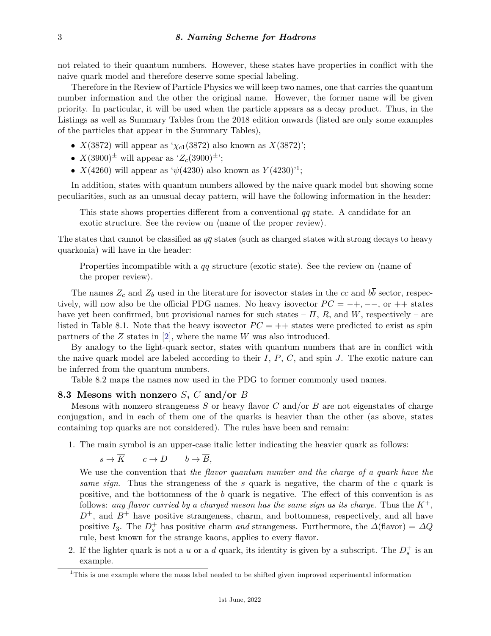not related to their quantum numbers. However, these states have properties in conflict with the naive quark model and therefore deserve some special labeling.

Therefore in the Review of Particle Physics we will keep two names, one that carries the quantum number information and the other the original name. However, the former name will be given priority. In particular, it will be used when the particle appears as a decay product. Thus, in the Listings as well as Summary Tables from the 2018 edition onwards (listed are only some examples of the particles that appear in the Summary Tables),

- *X*(3872) will appear as ' $\chi_{c1}(3872)$  also known as *X*(3872)';
- $X(3900)^{\pm}$  will appear as ' $Z_c(3900)^{\pm}$ ';
- *X*(4260) will appear as ' $\psi$ (4230) also known as  $Y(4230)^{11}$  $Y(4230)^{11}$  $Y(4230)^{11}$ ;

In addition, states with quantum numbers allowed by the naive quark model but showing some peculiarities, such as an unusual decay pattern, will have the following information in the header:

This state shows properties different from a conventional  $q\bar{q}$  state. A candidate for an exotic structure. See the review on  $\langle$  name of the proper review $\rangle$ .

The states that cannot be classified as  $q\bar{q}$  states (such as charged states with strong decays to heavy quarkonia) will have in the header:

Properties incompatible with a  $q\bar{q}$  structure (exotic state). See the review on  $\langle$ name of the proper review.

The names  $Z_c$  and  $Z_b$  used in the literature for isovector states in the  $c\bar{c}$  and  $b\bar{b}$  sector, respectively, will now also be the official PDG names. No heavy isovector  $PC = -+$ ,  $-$ , or  $++$  states have yet been confirmed, but provisional names for such states –  $\Pi$ ,  $R$ , and  $W$ , respectively – are listed in Table 8.1. Note that the heavy isovector  $PC = ++$  states were predicted to exist as spin partners of the *Z* states in [\[2\]](#page-3-1), where the name *W* was also introduced.

By analogy to the light-quark sector, states with quantum numbers that are in conflict with the naive quark model are labeled according to their *I*, *P*, *C*, and spin *J*. The exotic nature can be inferred from the quantum numbers.

Table 8.2 maps the names now used in the PDG to former commonly used names.

## **8.3 Mesons with nonzero** *S***,** *C* **and/or** *B*

Mesons with nonzero strangeness *S* or heavy flavor *C* and/or *B* are not eigenstates of charge conjugation, and in each of them one of the quarks is heavier than the other (as above, states containing top quarks are not considered). The rules have been and remain:

1. The main symbol is an upper-case italic letter indicating the heavier quark as follows:

$$
s \to \overline{K} \qquad c \to D \qquad b \to \overline{B},
$$

We use the convention that *the flavor quantum number and the charge of a quark have the same sign*. Thus the strangeness of the *s* quark is negative, the charm of the *c* quark is positive, and the bottomness of the *b* quark is negative. The effect of this convention is as follows: *any flavor carried by a charged meson has the same sign as its charge*. Thus the *K*+,  $D^+$ , and  $B^+$  have positive strangeness, charm, and bottomness, respectively, and all have positive *I*<sub>3</sub>. The  $D_s^+$  has positive charm *and* strangeness. Furthermore, the  $\Delta$ (flavor) =  $\Delta Q$ rule, best known for the strange kaons, applies to every flavor.

2. If the lighter quark is not a *u* or a *d* quark, its identity is given by a subscript. The  $D_s^+$  is an example.

<span id="page-2-0"></span> $1$ <sup>1</sup>This is one example where the mass label needed to be shifted given improved experimental information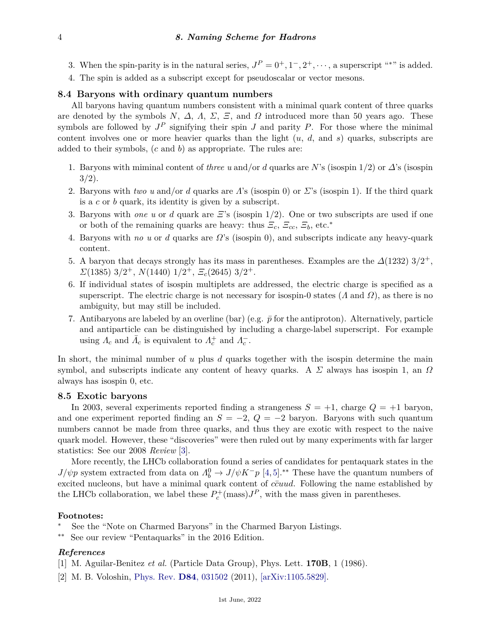- 3. When the spin-parity is in the natural series,  $J^P = 0^+, 1^-, 2^+, \cdots$ , a superscript "\*" is added.
- 4. The spin is added as a subscript except for pseudoscalar or vector mesons.

#### **8.4 Baryons with ordinary quantum numbers**

All baryons having quantum numbers consistent with a minimal quark content of three quarks are denoted by the symbols *N*,  $\Delta$ , *Λ*, *Σ*, *Ξ*, and *Ω* introduced more than 50 years ago. These symbols are followed by  $J^P$  signifying their spin *J* and parity *P*. For those where the minimal content involves one or more heavier quarks than the light (*u*, *d*, and *s*) quarks, subscripts are added to their symbols, (*c* and *b*) as appropriate. The rules are:

- 1. Baryons with miminal content of *three u* and/or *d* quarks are *N*'s (isospin 1/2) or *∆*'s (isospin  $3/2$ ).
- 2. Baryons with *two u* and/or *d* quarks are *Λ*'s (isospin 0) or *Σ*'s (isospin 1). If the third quark is a *c* or *b* quark, its identity is given by a subscript.
- 3. Baryons with *one u* or *d* quark are *Ξ*'s (isospin 1/2). One or two subscripts are used if one or both of the remaining quarks are heavy: thus *Ξc*, *Ξcc*, *Ξb*, etc.<sup>∗</sup>
- 4. Baryons with *no u* or *d* quarks are *Ω*'s (isospin 0), and subscripts indicate any heavy-quark content.
- 5. A baryon that decays strongly has its mass in parentheses. Examples are the  $\Delta(1232)$  3/2<sup>+</sup>, *Σ*(1385) 3*/*2 <sup>+</sup>, *N*(1440) 1*/*2 <sup>+</sup>, *Ξc*(2645) 3*/*2 +.
- 6. If individual states of isospin multiplets are addressed, the electric charge is specified as a superscript. The electric charge is not necessary for isospin-0 states (*Λ* and *Ω*), as there is no ambiguity, but may still be included.
- 7. Antibaryons are labeled by an overline (bar) (e.g.  $\bar{p}$  for the antiproton). Alternatively, particle and antiparticle can be distinguished by including a charge-label superscript. For example using  $\Lambda_c$  and  $\bar{\Lambda}_c$  is equivalent to  $\Lambda_c^+$  and  $\Lambda_c^-$ .

In short, the minimal number of *u* plus *d* quarks together with the isospin determine the main symbol, and subscripts indicate any content of heavy quarks. A *Σ* always has isospin 1, an *Ω* always has isospin 0, etc.

## **8.5 Exotic baryons**

In 2003, several experiments reported finding a strangeness  $S = +1$ , charge  $Q = +1$  baryon, and one experiment reported finding an  $S = -2$ ,  $Q = -2$  baryon. Baryons with such quantum numbers cannot be made from three quarks, and thus they are exotic with respect to the naive quark model. However, these "discoveries" were then ruled out by many experiments with far larger statistics: See our 2008 *Review* [\[3\]](#page-4-0).

More recently, the LHCb collaboration found a series of candidates for pentaquark states in the *J/ψp* system extracted from data on  $\Lambda_b^0 \to J/\psi K^- p$  [\[4,](#page-4-1)[5\]](#page-4-2).<sup>\*\*</sup> These have the quantum numbers of excited nucleons, but have a minimal quark content of  $c\bar{c}uud$ . Following the name established by the LHCb collaboration, we label these  $P_c^{\dagger}(\text{mass})J^P$ , with the mass given in parentheses.

## **Footnotes:**

- See the "Note on Charmed Baryons" in the Charmed Baryon Listings.
- ∗∗ See our review "Pentaquarks" in the 2016 Edition.

## <span id="page-3-0"></span>*References*

- <span id="page-3-1"></span>[1] M. Aguilar-Benitez *et al.* (Particle Data Group), Phys. Lett. **170B**, 1 (1986).
- [2] M. B. Voloshin, [Phys. Rev.](http://doi.org/10.1103/PhysRevD.84.031502) **D84**[, 031502](http://doi.org/10.1103/PhysRevD.84.031502) (2011), [\[arXiv:1105.5829\].](https://arxiv.org/abs/1105.5829)